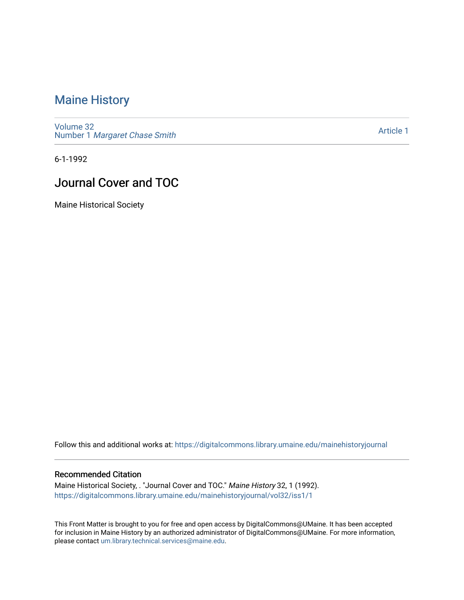## [Maine History](https://digitalcommons.library.umaine.edu/mainehistoryjournal)

[Volume 32](https://digitalcommons.library.umaine.edu/mainehistoryjournal/vol32) Number 1 [Margaret Chase Smith](https://digitalcommons.library.umaine.edu/mainehistoryjournal/vol32/iss1) 

[Article 1](https://digitalcommons.library.umaine.edu/mainehistoryjournal/vol32/iss1/1) 

6-1-1992

# Journal Cover and TOC

Maine Historical Society

Follow this and additional works at: [https://digitalcommons.library.umaine.edu/mainehistoryjournal](https://digitalcommons.library.umaine.edu/mainehistoryjournal?utm_source=digitalcommons.library.umaine.edu%2Fmainehistoryjournal%2Fvol32%2Fiss1%2F1&utm_medium=PDF&utm_campaign=PDFCoverPages) 

#### Recommended Citation

Maine Historical Society, . "Journal Cover and TOC." Maine History 32, 1 (1992). [https://digitalcommons.library.umaine.edu/mainehistoryjournal/vol32/iss1/1](https://digitalcommons.library.umaine.edu/mainehistoryjournal/vol32/iss1/1?utm_source=digitalcommons.library.umaine.edu%2Fmainehistoryjournal%2Fvol32%2Fiss1%2F1&utm_medium=PDF&utm_campaign=PDFCoverPages)

This Front Matter is brought to you for free and open access by DigitalCommons@UMaine. It has been accepted for inclusion in Maine History by an authorized administrator of DigitalCommons@UMaine. For more information, please contact [um.library.technical.services@maine.edu.](mailto:um.library.technical.services@maine.edu)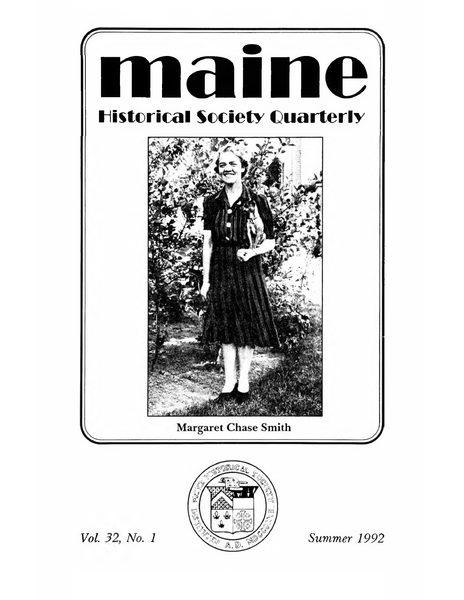



Vol. 32, No. 1

Summer 1992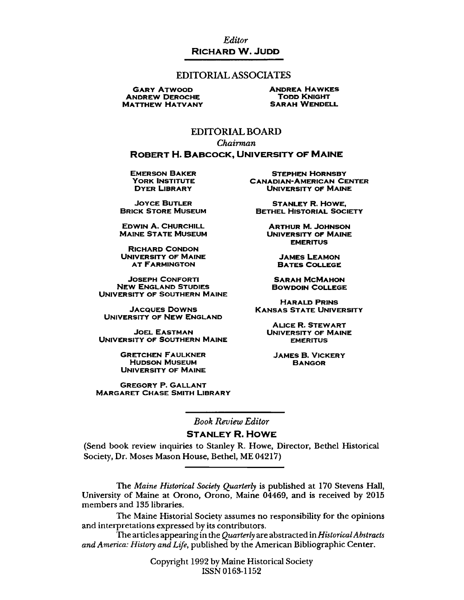Editor **RICHARD W. JUDD** 

#### **EDITORIAL ASSOCIATES**

**GARY ATWOOD ANDREW DEROCHE MATTHEW HATVANY**  **ANDREA HAWKES TODD KNIGHT SARAH WENDELL** 

### **EDITORIAL BOARD**

Chairman **ROBERT H. BABCOCK, UNIVERSITY OF MAINE** 

**EMERSON BAKER YORK INSTITUTE DYER LIBRARY** 

**JOYCE BUTLER BRICK STORE MUSEUM** 

**EDWIN A. CHURCHILL EDWIN A. CHURCHILL<br>MAINE STATE MUSEUM** 

**RICHARD CONDON** UNIVERSITY OF MAINE **AT FARMINGTON** 

**JOSEPH CONFORTI NEW ENGLAND STUDIES** UNIVERSITY OF SOUTHERN MAINE

**JACQUES DOWNS** UNIVERSITY OF NEW ENGLAND

**JOEL EASTMAN** UNIVERSITY OF SOUTHERN MAINE

> **GRETCHEN FAULKNER HUDSON MUSEUM UNIVERSITY OF MAINE**

**GREGORY P. GALLANT MARGARET CHASE SMITH LIBRARY** 

**STEPHEN HORNSBY CANADIAN-AMERICAN CENTER UNIVERSITY OF MAINE** 

**STANLEY R. HOWE, BETHEL HISTORIAL SOCIETY** 

> **ARTHUR M. JOHNSON UNIVERSITY OF MAINE EMERITUS**

> > **JAMES LEAMON BATES COLLEGE**

**SARAH MCMAHON BOWDOIN COLLEGE** 

**HARALD PRINS KANSAS STATE UNIVERSITY** 

> **ALICE R. STEWART UNIVERSITY OF MAINE EMERITUS**

**JAMES B. VICKERY BANGOR** 

**Book Review Editor** 

#### **STANLEY R. HOWE**

(Send book review inquiries to Stanley R. Howe, Director, Bethel Historical Society, Dr. Moses Mason House, Bethel, ME 04217)

The Maine Historical Society Quarterly is published at 170 Stevens Hall, University of Maine at Orono, Orono, Maine 04469, and is received by 2015 members and 135 libraries.

The Maine Historial Society assumes no responsibility for the opinions and interpretations expressed by its contributors.

The articles appearing in the Quarterly are abstracted in Historical Abstracts and America: History and Life, published by the American Bibliographic Center.

> Copyright 1992 by Maine Historical Society ISSN 0163-1152